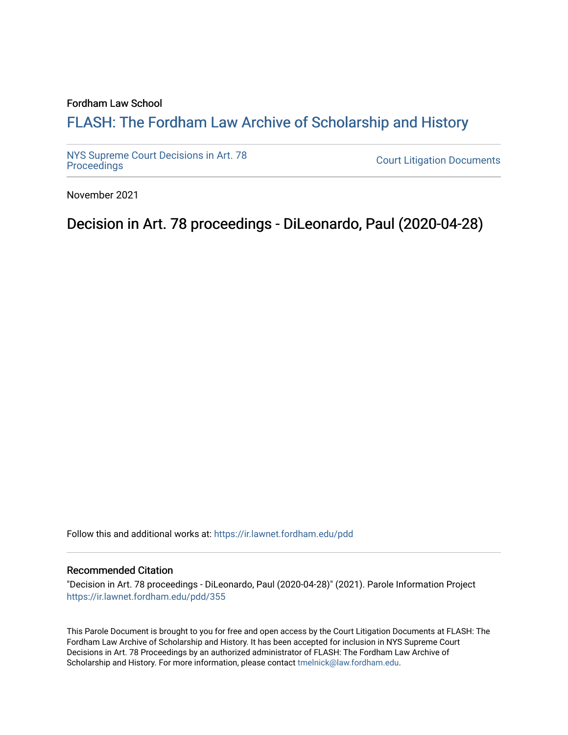#### Fordham Law School

# FLASH: The For[dham Law Archive of Scholarship and Hist](https://ir.lawnet.fordham.edu/)ory

[NYS Supreme Court Decisions in Art. 78](https://ir.lawnet.fordham.edu/pdd)

**Court Litigation Documents** 

November 2021

Decision in Art. 78 proceedings - DiLeonardo, Paul (2020-04-28)

Follow this and additional works at: [https://ir.lawnet.fordham.edu/pdd](https://ir.lawnet.fordham.edu/pdd?utm_source=ir.lawnet.fordham.edu%2Fpdd%2F355&utm_medium=PDF&utm_campaign=PDFCoverPages)

#### Recommended Citation

"Decision in Art. 78 proceedings - DiLeonardo, Paul (2020-04-28)" (2021). Parole Information Project [https://ir.lawnet.fordham.edu/pdd/355](https://ir.lawnet.fordham.edu/pdd/355?utm_source=ir.lawnet.fordham.edu%2Fpdd%2F355&utm_medium=PDF&utm_campaign=PDFCoverPages)

This Parole Document is brought to you for free and open access by the Court Litigation Documents at FLASH: The Fordham Law Archive of Scholarship and History. It has been accepted for inclusion in NYS Supreme Court Decisions in Art. 78 Proceedings by an authorized administrator of FLASH: The Fordham Law Archive of Scholarship and History. For more information, please contact [tmelnick@law.fordham.edu](mailto:tmelnick@law.fordham.edu).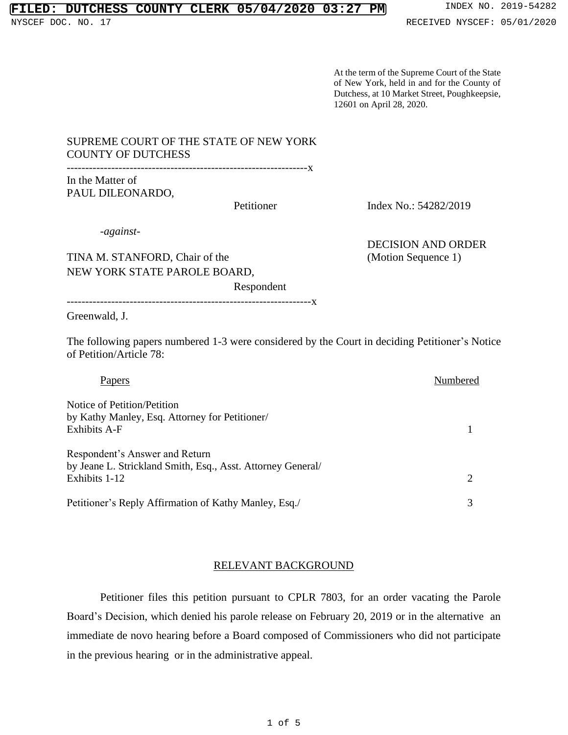## **FILED: DUTCHESS COUNTY CLERK 05/04/2020 03:27 PM** INDEX NO. 2019-54282

At the term of the Supreme Court of the State of New York, held in and for the County of Dutchess, at 10 Market Street, Poughkeepsie, 12601 on April 28, 2020.

### SUPREME COURT OF THE STATE OF NEW YORK COUNTY OF DUTCHESS

-----------------------------------------------------------------x In the Matter of PAUL DILEONARDO,

Petitioner Index No.: 54282/2019

*-against-*

TINA M. STANFORD, Chair of the (Motion Sequence 1) NEW YORK STATE PAROLE BOARD,

DECISION AND ORDER

Respondent

------------------------------------------------------------------x

Greenwald, J.

The following papers numbered 1-3 were considered by the Court in deciding Petitioner's Notice of Petition/Article 78:

| Papers                                                                                                         | Numbered |
|----------------------------------------------------------------------------------------------------------------|----------|
| Notice of Petition/Petition<br>by Kathy Manley, Esq. Attorney for Petitioner/<br>Exhibits A-F                  |          |
| Respondent's Answer and Return<br>by Jeane L. Strickland Smith, Esq., Asst. Attorney General/<br>Exhibits 1-12 |          |
| Petitioner's Reply Affirmation of Kathy Manley, Esq./                                                          |          |

### RELEVANT BACKGROUND

Petitioner files this petition pursuant to CPLR 7803, for an order vacating the Parole Board's Decision, which denied his parole release on February 20, 2019 or in the alternative an immediate de novo hearing before a Board composed of Commissioners who did not participate in the previous hearing or in the administrative appeal.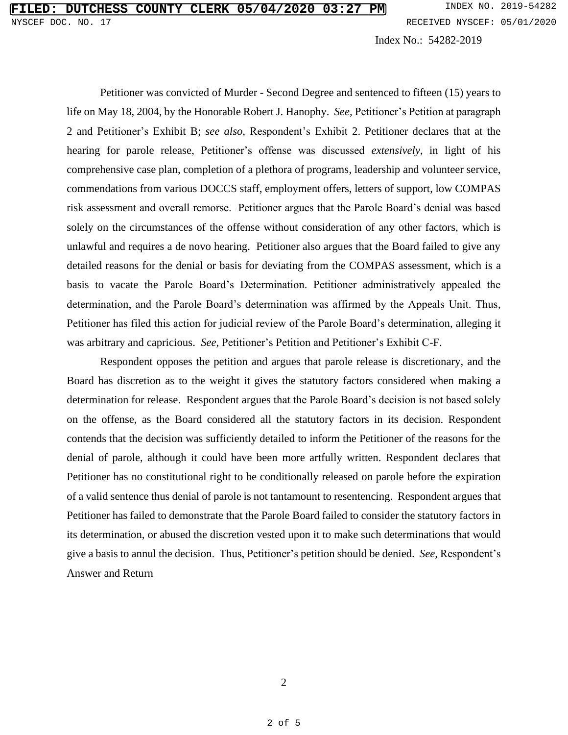Index No.: 54282-2019

Petitioner was convicted of Murder - Second Degree and sentenced to fifteen (15) years to life on May 18, 2004, by the Honorable Robert J. Hanophy. *See,* Petitioner's Petition at paragraph 2 and Petitioner's Exhibit B; *see also,* Respondent's Exhibit 2. Petitioner declares that at the hearing for parole release, Petitioner's offense was discussed *extensively*, in light of his comprehensive case plan, completion of a plethora of programs, leadership and volunteer service, commendations from various DOCCS staff, employment offers, letters of support, low COMPAS risk assessment and overall remorse. Petitioner argues that the Parole Board's denial was based solely on the circumstances of the offense without consideration of any other factors, which is unlawful and requires a de novo hearing. Petitioner also argues that the Board failed to give any detailed reasons for the denial or basis for deviating from the COMPAS assessment, which is a basis to vacate the Parole Board's Determination. Petitioner administratively appealed the determination, and the Parole Board's determination was affirmed by the Appeals Unit. Thus, Petitioner has filed this action for judicial review of the Parole Board's determination, alleging it was arbitrary and capricious. *See,* Petitioner's Petition and Petitioner's Exhibit C-F.

Respondent opposes the petition and argues that parole release is discretionary, and the Board has discretion as to the weight it gives the statutory factors considered when making a determination for release. Respondent argues that the Parole Board's decision is not based solely on the offense, as the Board considered all the statutory factors in its decision. Respondent contends that the decision was sufficiently detailed to inform the Petitioner of the reasons for the denial of parole, although it could have been more artfully written. Respondent declares that Petitioner has no constitutional right to be conditionally released on parole before the expiration of a valid sentence thus denial of parole is not tantamount to resentencing. Respondent argues that Petitioner has failed to demonstrate that the Parole Board failed to consider the statutory factors in its determination, or abused the discretion vested upon it to make such determinations that would give a basis to annul the decision. Thus, Petitioner's petition should be denied. *See,* Respondent's Answer and Return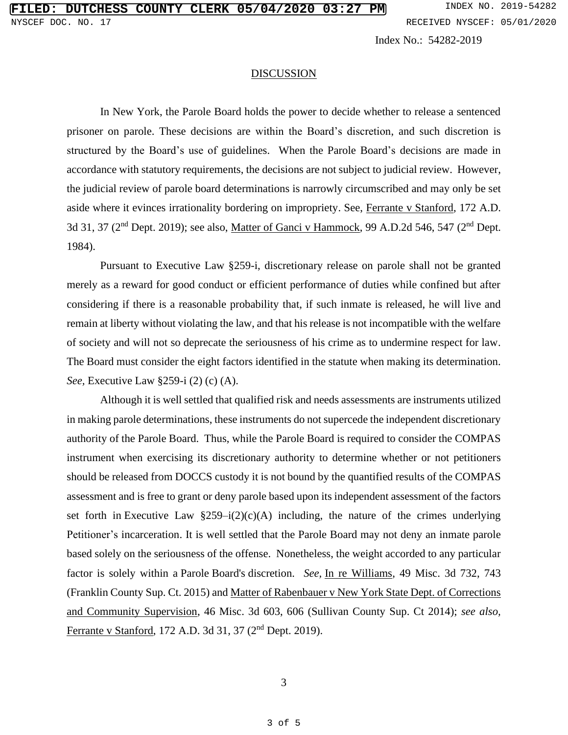Index No.: 54282-2019

#### **DISCUSSION**

In New York, the Parole Board holds the power to decide whether to release a sentenced prisoner on parole. These decisions are within the Board's discretion, and such discretion is structured by the Board's use of guidelines. When the Parole Board's decisions are made in accordance with statutory requirements, the decisions are not subject to judicial review. However, the judicial review of parole board determinations is narrowly circumscribed and may only be set aside where it evinces irrationality bordering on impropriety. See, Ferrante v Stanford, 172 A.D. 3d 31, 37 (2<sup>nd</sup> Dept. 2019); see also, <u>Matter of Ganci v Hammock</u>, 99 A.D.2d 546, 547 (2<sup>nd</sup> Dept. 1984).

Pursuant to Executive Law §259-i, discretionary release on parole shall not be granted merely as a reward for good conduct or efficient performance of duties while confined but after considering if there is a reasonable probability that, if such inmate is released, he will live and remain at liberty without violating the law, and that his release is not incompatible with the welfare of society and will not so deprecate the seriousness of his crime as to undermine respect for law. The Board must consider the eight factors identified in the statute when making its determination. *See,* Executive Law §259-i (2) (c) (A).

Although it is well settled that qualified risk and needs assessments are instruments utilized in making parole determinations, these instruments do not supercede the independent discretionary authority of the Parole Board. Thus, while the Parole Board is required to consider the COMPAS instrument when exercising its discretionary authority to determine whether or not petitioners should be released from DOCCS custody it is not bound by the quantified results of the COMPAS assessment and is free to grant or deny parole based upon its independent assessment of the factors set forth in Executive Law  $\S259-i(2)(c)(A)$  including, the nature of the crimes underlying Petitioner's incarceration. It is well settled that the Parole Board may not deny an inmate parole based solely on the seriousness of the offense. Nonetheless, the weight accorded to any particular factor is solely within a Parole Board's discretion. *See,* In re Williams, 49 Misc. 3d 732, 743 (Franklin County Sup. Ct. 2015) and Matter of Rabenbauer v New York State Dept. of Corrections and Community Supervision, 46 Misc. 3d 603, 606 (Sullivan County Sup. Ct 2014); *see also,* Ferrante v Stanford, 172 A.D. 3d 31, 37 (2<sup>nd</sup> Dept. 2019).

3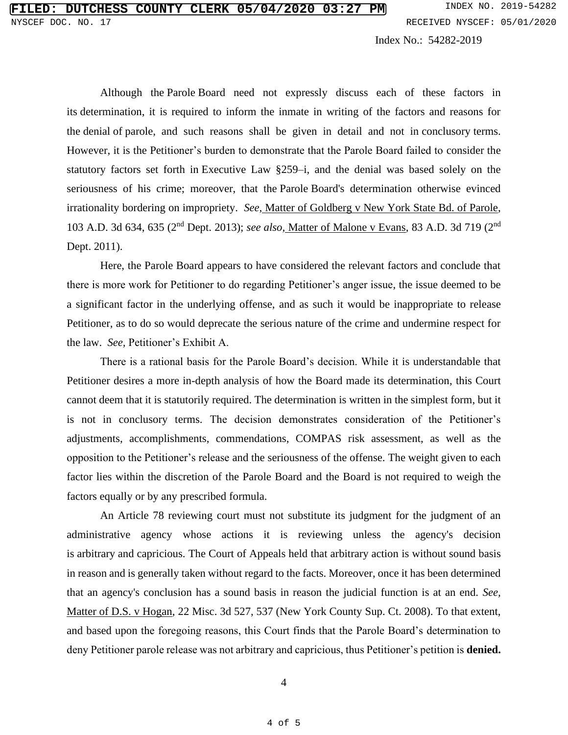Index No.: 54282-2019

Although the Parole Board need not expressly discuss each of these factors in its determination, it is required to inform the inmate in writing of the factors and reasons for the denial of parole, and such reasons shall be given in detail and not in conclusory terms. However, it is the Petitioner's burden to demonstrate that the Parole Board failed to consider the statutory factors set forth in Executive Law §259–i, and the denial was based solely on the seriousness of his crime; moreover, that the Parole Board's determination otherwise evinced irrationality bordering on impropriety. *See,* Matter of Goldberg v New York State Bd. of Parole, 103 A.D. 3d 634, 635 (2<sup>nd</sup> Dept. 2013); see also, Matter of Malone v Evans, 83 A.D. 3d 719 (2<sup>nd</sup> Dept. 2011).

Here, the Parole Board appears to have considered the relevant factors and conclude that there is more work for Petitioner to do regarding Petitioner's anger issue, the issue deemed to be a significant factor in the underlying offense, and as such it would be inappropriate to release Petitioner, as to do so would deprecate the serious nature of the crime and undermine respect for the law. *See,* Petitioner's Exhibit A.

There is a rational basis for the Parole Board's decision. While it is understandable that Petitioner desires a more in-depth analysis of how the Board made its determination, this Court cannot deem that it is statutorily required. The determination is written in the simplest form, but it is not in conclusory terms. The decision demonstrates consideration of the Petitioner's adjustments, accomplishments, commendations, COMPAS risk assessment, as well as the opposition to the Petitioner's release and the seriousness of the offense. The weight given to each factor lies within the discretion of the Parole Board and the Board is not required to weigh the factors equally or by any prescribed formula.

An Article 78 reviewing court must not substitute its judgment for the judgment of an administrative agency whose actions it is reviewing unless the agency's decision is arbitrary and capricious. The Court of Appeals held that arbitrary action is without sound basis in reason and is generally taken without regard to the facts. Moreover, once it has been determined that an agency's conclusion has a sound basis in reason the judicial function is at an end. *See,*  Matter of D.S. v Hogan, 22 Misc. 3d 527, 537 (New York County Sup. Ct. 2008). To that extent, and based upon the foregoing reasons, this Court finds that the Parole Board's determination to deny Petitioner parole release was not arbitrary and capricious, thus Petitioner's petition is **denied.**

4